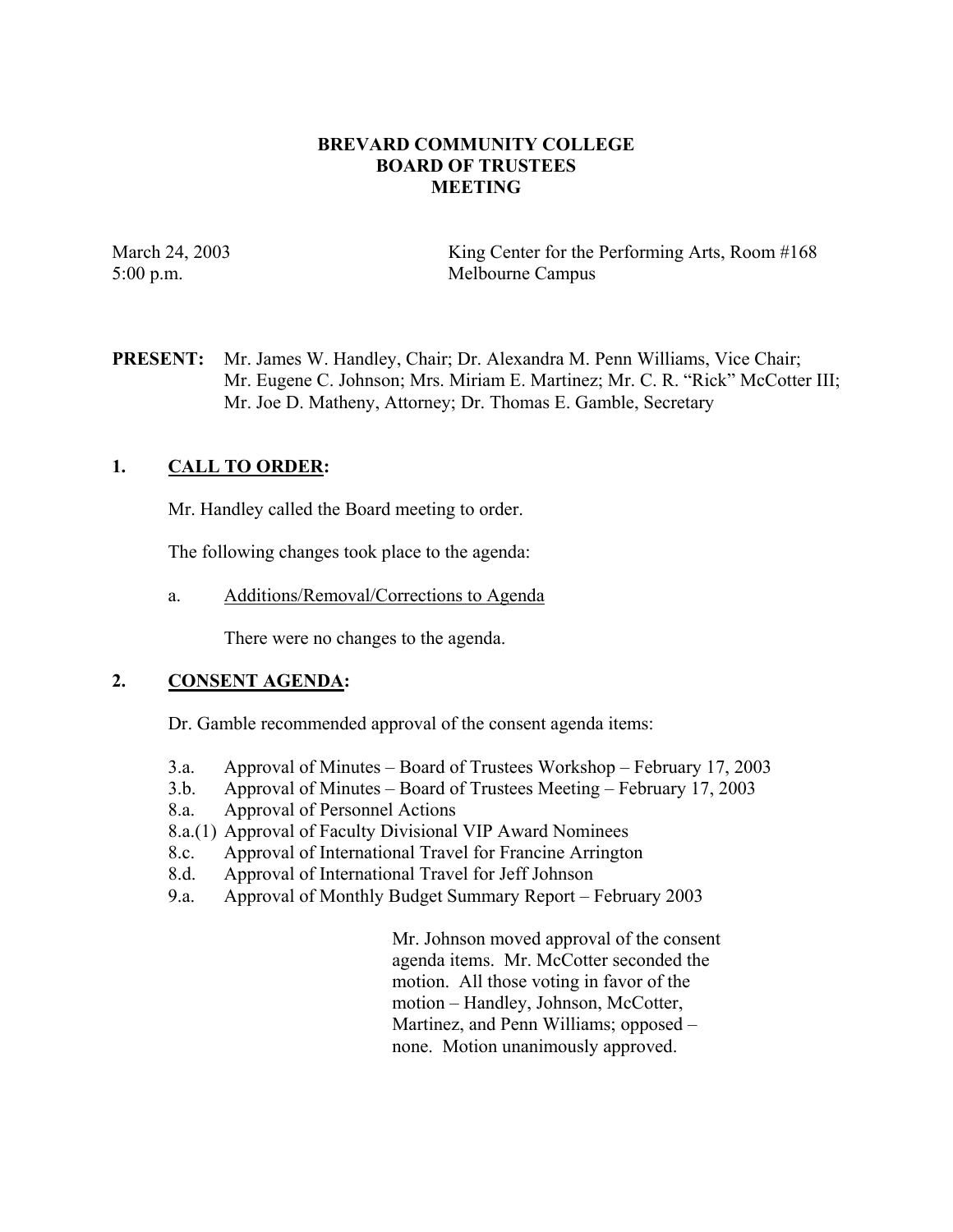### **BREVARD COMMUNITY COLLEGE BOARD OF TRUSTEES MEETING**

March 24, 2003 King Center for the Performing Arts, Room #168 5:00 p.m. Melbourne Campus

**PRESENT:** Mr. James W. Handley, Chair; Dr. Alexandra M. Penn Williams, Vice Chair; Mr. Eugene C. Johnson; Mrs. Miriam E. Martinez; Mr. C. R. "Rick" McCotter III; Mr. Joe D. Matheny, Attorney; Dr. Thomas E. Gamble, Secretary

# **1. CALL TO ORDER:**

Mr. Handley called the Board meeting to order.

The following changes took place to the agenda:

a. Additions/Removal/Corrections to Agenda

There were no changes to the agenda.

# **2. CONSENT AGENDA:**

Dr. Gamble recommended approval of the consent agenda items:

- 3.a. Approval of Minutes Board of Trustees Workshop February 17, 2003
- 3.b. Approval of Minutes Board of Trustees Meeting February 17, 2003
- 8.a. Approval of Personnel Actions
- 8.a.(1) Approval of Faculty Divisional VIP Award Nominees
- 8.c. Approval of International Travel for Francine Arrington
- 8.d. Approval of International Travel for Jeff Johnson
- 9.a. Approval of Monthly Budget Summary Report February 2003

Mr. Johnson moved approval of the consent agenda items. Mr. McCotter seconded the motion. All those voting in favor of the motion – Handley, Johnson, McCotter, Martinez, and Penn Williams; opposed – none. Motion unanimously approved.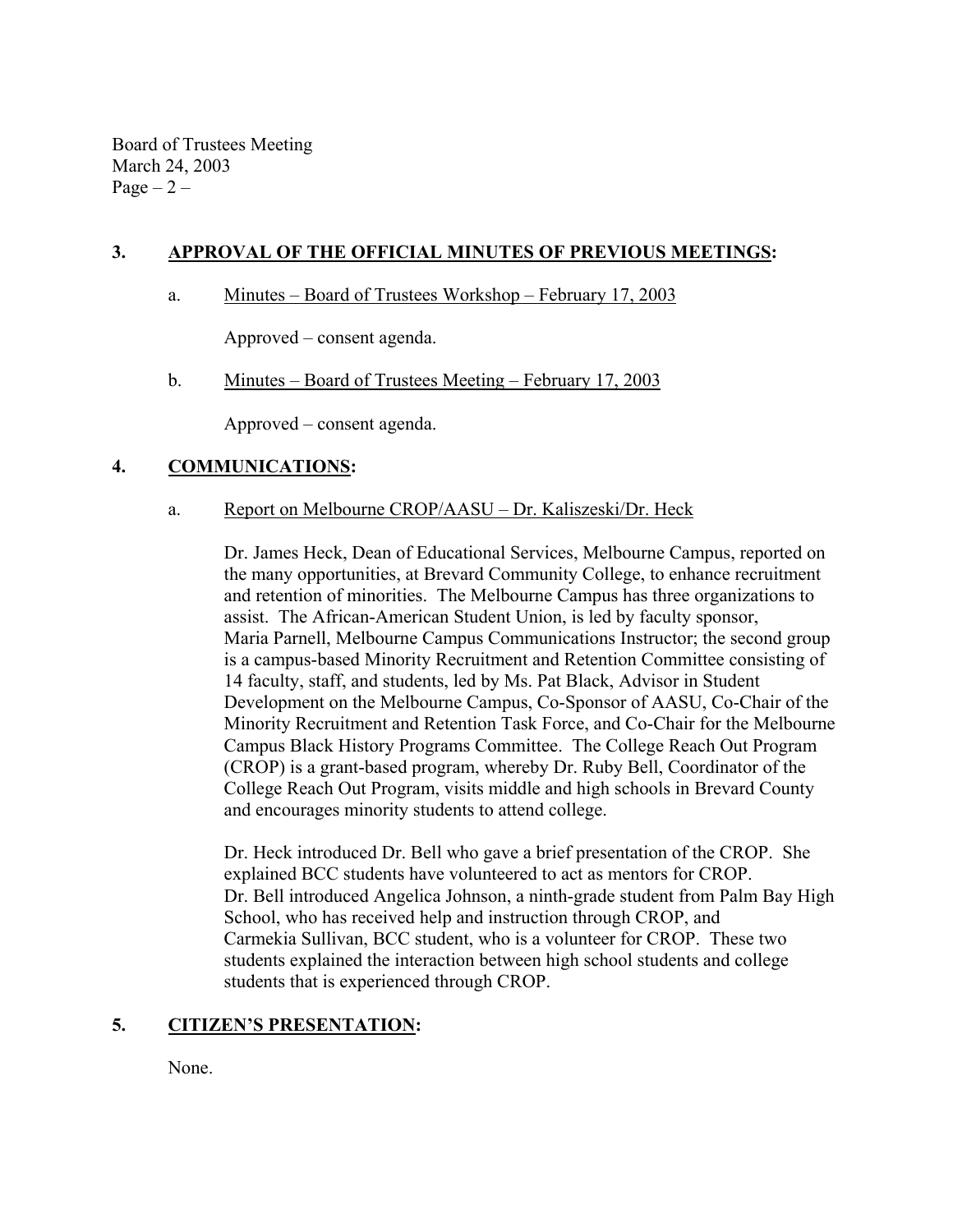Board of Trustees Meeting March 24, 2003 Page  $-2$  –

## **3. APPROVAL OF THE OFFICIAL MINUTES OF PREVIOUS MEETINGS:**

### a. Minutes – Board of Trustees Workshop – February 17, 2003

Approved – consent agenda.

#### b. Minutes – Board of Trustees Meeting – February 17, 2003

Approved – consent agenda.

#### **4. COMMUNICATIONS:**

#### a. Report on Melbourne CROP/AASU – Dr. Kaliszeski/Dr. Heck

Dr. James Heck, Dean of Educational Services, Melbourne Campus, reported on the many opportunities, at Brevard Community College, to enhance recruitment and retention of minorities. The Melbourne Campus has three organizations to assist. The African-American Student Union, is led by faculty sponsor, Maria Parnell, Melbourne Campus Communications Instructor; the second group is a campus-based Minority Recruitment and Retention Committee consisting of 14 faculty, staff, and students, led by Ms. Pat Black, Advisor in Student Development on the Melbourne Campus, Co-Sponsor of AASU, Co-Chair of the Minority Recruitment and Retention Task Force, and Co-Chair for the Melbourne Campus Black History Programs Committee. The College Reach Out Program (CROP) is a grant-based program, whereby Dr. Ruby Bell, Coordinator of the College Reach Out Program, visits middle and high schools in Brevard County and encourages minority students to attend college.

Dr. Heck introduced Dr. Bell who gave a brief presentation of the CROP. She explained BCC students have volunteered to act as mentors for CROP. Dr. Bell introduced Angelica Johnson, a ninth-grade student from Palm Bay High School, who has received help and instruction through CROP, and Carmekia Sullivan, BCC student, who is a volunteer for CROP. These two students explained the interaction between high school students and college students that is experienced through CROP.

#### **5. CITIZEN'S PRESENTATION:**

None.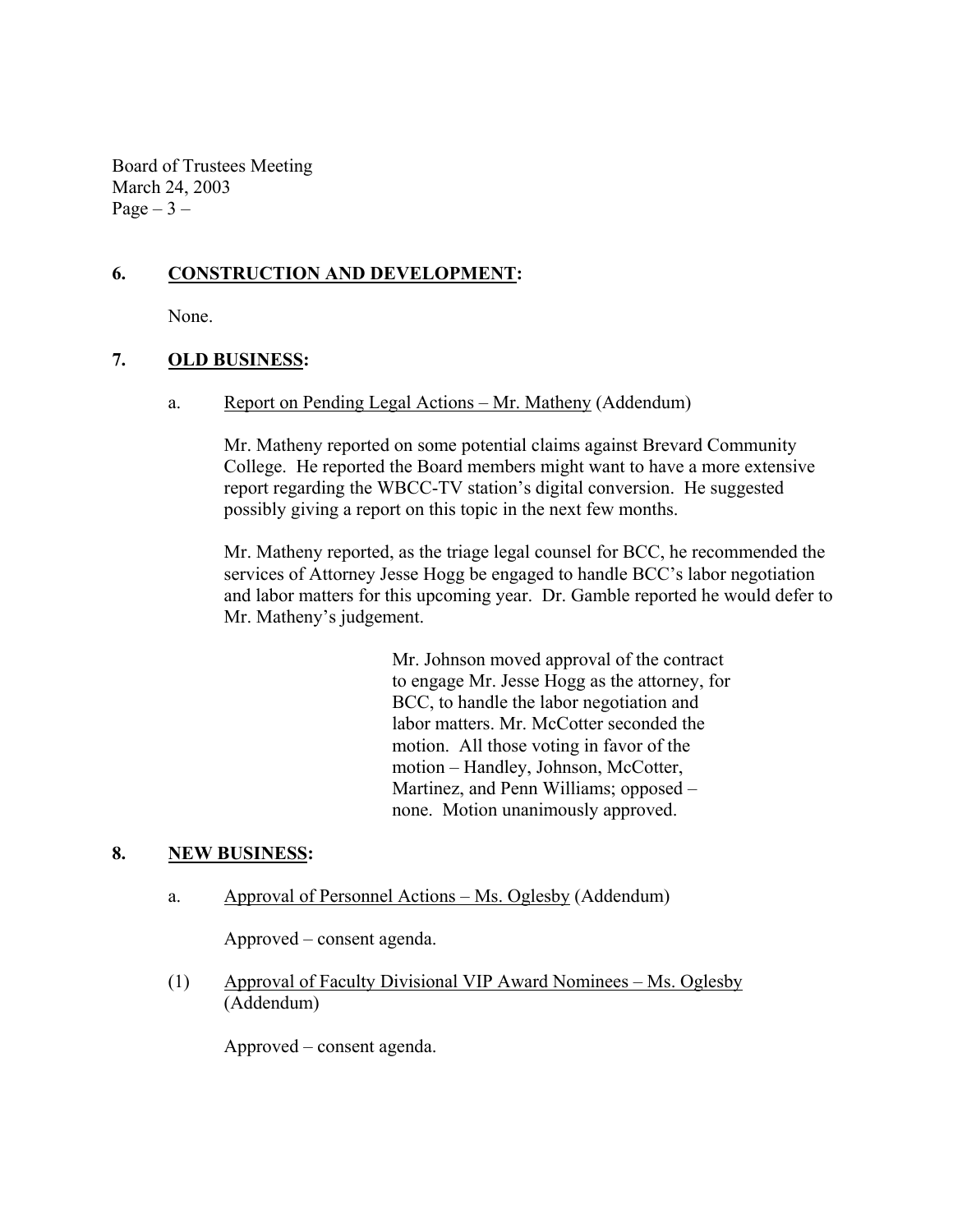Board of Trustees Meeting March 24, 2003  $Page-3$  –

# **6. CONSTRUCTION AND DEVELOPMENT:**

None.

### **7. OLD BUSINESS:**

a. Report on Pending Legal Actions – Mr. Matheny (Addendum)

Mr. Matheny reported on some potential claims against Brevard Community College. He reported the Board members might want to have a more extensive report regarding the WBCC-TV station's digital conversion. He suggested possibly giving a report on this topic in the next few months.

Mr. Matheny reported, as the triage legal counsel for BCC, he recommended the services of Attorney Jesse Hogg be engaged to handle BCC's labor negotiation and labor matters for this upcoming year. Dr. Gamble reported he would defer to Mr. Matheny's judgement.

> Mr. Johnson moved approval of the contract to engage Mr. Jesse Hogg as the attorney, for BCC, to handle the labor negotiation and labor matters. Mr. McCotter seconded the motion. All those voting in favor of the motion – Handley, Johnson, McCotter, Martinez, and Penn Williams; opposed – none. Motion unanimously approved.

# **8. NEW BUSINESS:**

a. Approval of Personnel Actions – Ms. Oglesby (Addendum)

Approved – consent agenda.

(1) Approval of Faculty Divisional VIP Award Nominees – Ms. Oglesby (Addendum)

Approved – consent agenda.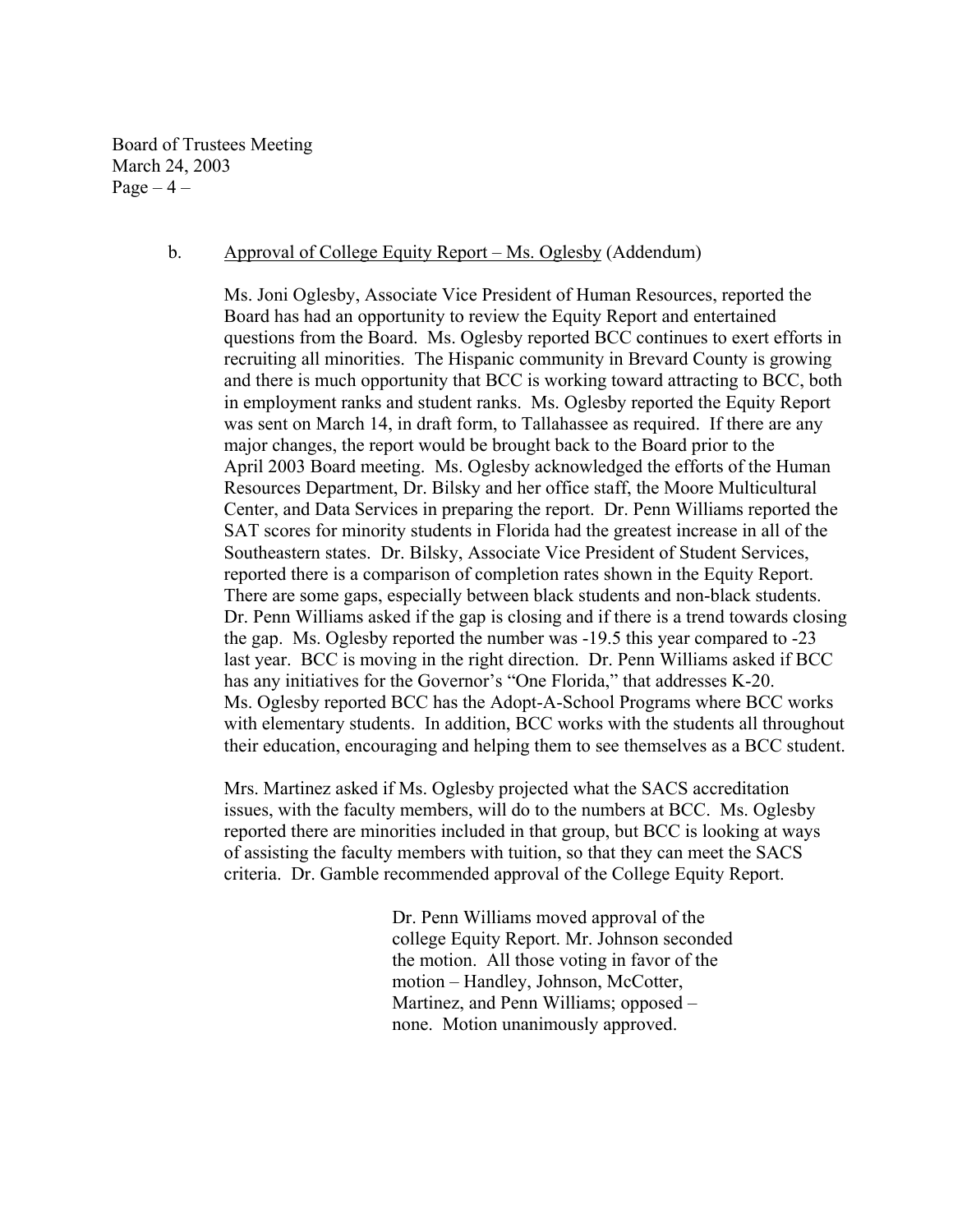Board of Trustees Meeting March 24, 2003  $Page-4$  –

#### b. Approval of College Equity Report – Ms. Oglesby (Addendum)

Ms. Joni Oglesby, Associate Vice President of Human Resources, reported the Board has had an opportunity to review the Equity Report and entertained questions from the Board. Ms. Oglesby reported BCC continues to exert efforts in recruiting all minorities. The Hispanic community in Brevard County is growing and there is much opportunity that BCC is working toward attracting to BCC, both in employment ranks and student ranks. Ms. Oglesby reported the Equity Report was sent on March 14, in draft form, to Tallahassee as required. If there are any major changes, the report would be brought back to the Board prior to the April 2003 Board meeting. Ms. Oglesby acknowledged the efforts of the Human Resources Department, Dr. Bilsky and her office staff, the Moore Multicultural Center, and Data Services in preparing the report. Dr. Penn Williams reported the SAT scores for minority students in Florida had the greatest increase in all of the Southeastern states. Dr. Bilsky, Associate Vice President of Student Services, reported there is a comparison of completion rates shown in the Equity Report. There are some gaps, especially between black students and non-black students. Dr. Penn Williams asked if the gap is closing and if there is a trend towards closing the gap. Ms. Oglesby reported the number was -19.5 this year compared to -23 last year. BCC is moving in the right direction. Dr. Penn Williams asked if BCC has any initiatives for the Governor's "One Florida," that addresses K-20. Ms. Oglesby reported BCC has the Adopt-A-School Programs where BCC works with elementary students. In addition, BCC works with the students all throughout their education, encouraging and helping them to see themselves as a BCC student.

Mrs. Martinez asked if Ms. Oglesby projected what the SACS accreditation issues, with the faculty members, will do to the numbers at BCC. Ms. Oglesby reported there are minorities included in that group, but BCC is looking at ways of assisting the faculty members with tuition, so that they can meet the SACS criteria. Dr. Gamble recommended approval of the College Equity Report.

> Dr. Penn Williams moved approval of the college Equity Report. Mr. Johnson seconded the motion. All those voting in favor of the motion – Handley, Johnson, McCotter, Martinez, and Penn Williams; opposed – none. Motion unanimously approved.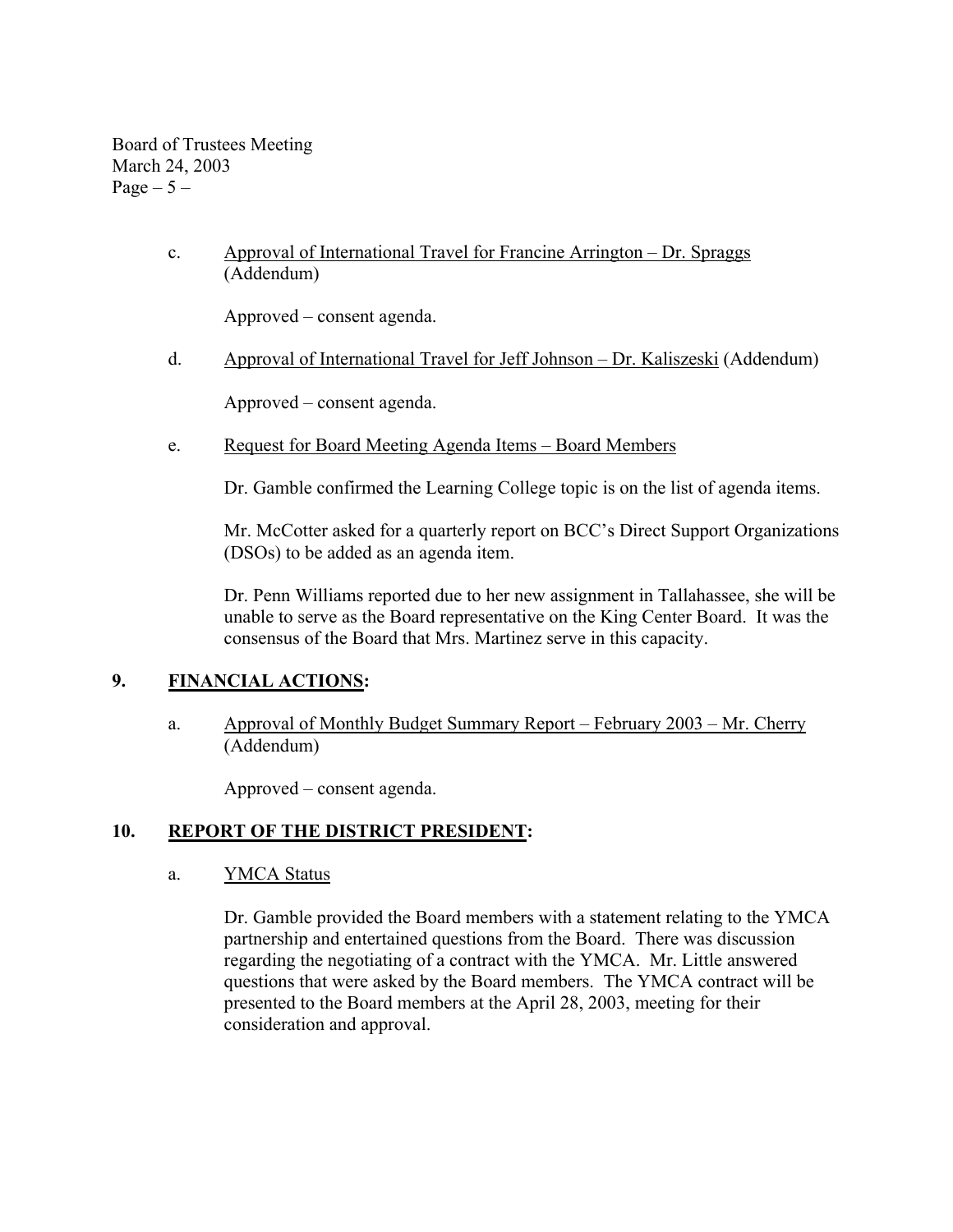Board of Trustees Meeting March 24, 2003 Page  $-5-$ 

> c. Approval of International Travel for Francine Arrington – Dr. Spraggs (Addendum)

Approved – consent agenda.

d. Approval of International Travel for Jeff Johnson – Dr. Kaliszeski (Addendum)

Approved – consent agenda.

e. Request for Board Meeting Agenda Items – Board Members

Dr. Gamble confirmed the Learning College topic is on the list of agenda items.

Mr. McCotter asked for a quarterly report on BCC's Direct Support Organizations (DSOs) to be added as an agenda item.

Dr. Penn Williams reported due to her new assignment in Tallahassee, she will be unable to serve as the Board representative on the King Center Board. It was the consensus of the Board that Mrs. Martinez serve in this capacity.

# **9. FINANCIAL ACTIONS:**

a. Approval of Monthly Budget Summary Report – February 2003 – Mr. Cherry (Addendum)

Approved – consent agenda.

# **10. REPORT OF THE DISTRICT PRESIDENT:**

a. YMCA Status

Dr. Gamble provided the Board members with a statement relating to the YMCA partnership and entertained questions from the Board. There was discussion regarding the negotiating of a contract with the YMCA. Mr. Little answered questions that were asked by the Board members. The YMCA contract will be presented to the Board members at the April 28, 2003, meeting for their consideration and approval.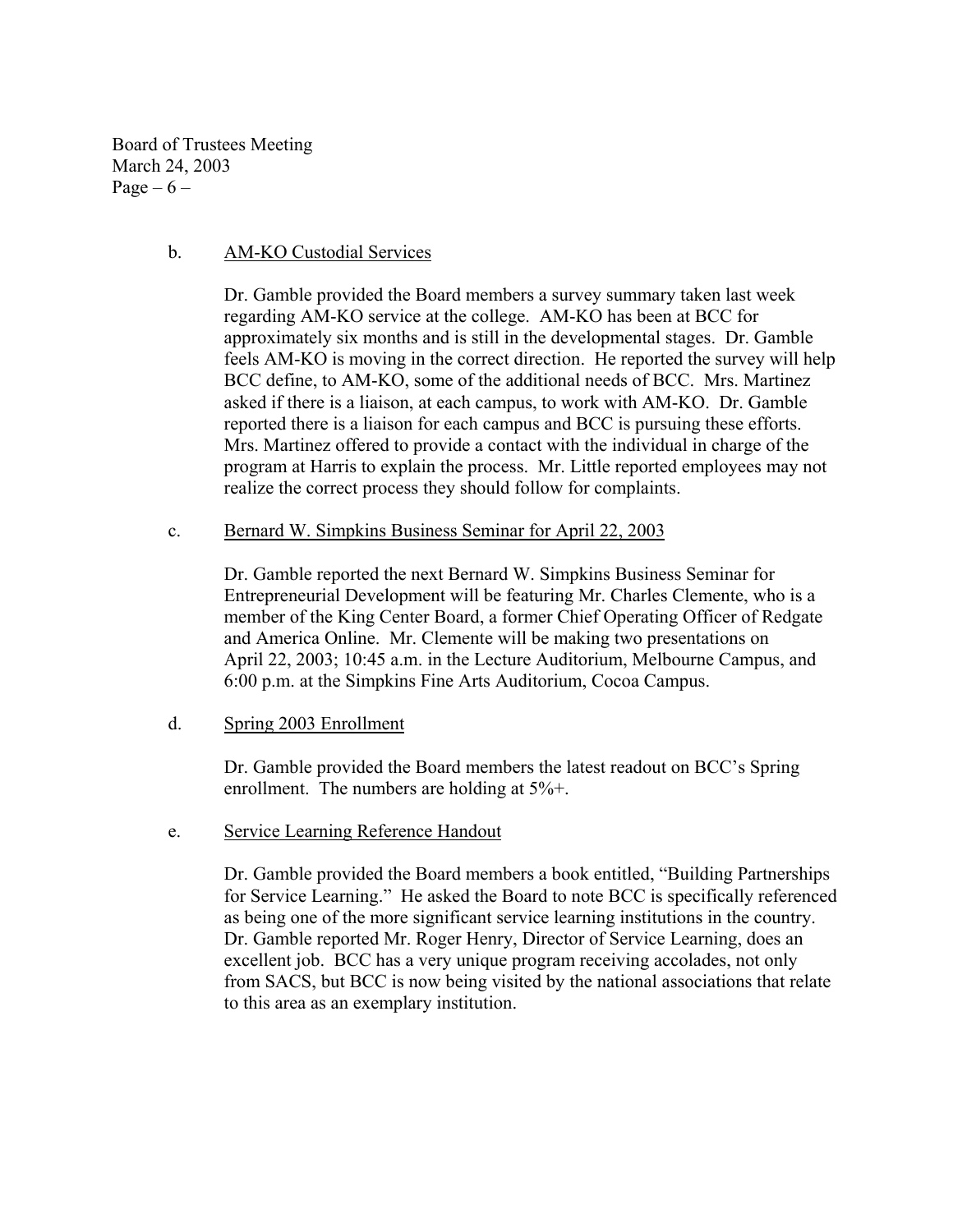Board of Trustees Meeting March 24, 2003 Page –  $6$  –

#### b. AM-KO Custodial Services

Dr. Gamble provided the Board members a survey summary taken last week regarding AM-KO service at the college. AM-KO has been at BCC for approximately six months and is still in the developmental stages. Dr. Gamble feels AM-KO is moving in the correct direction. He reported the survey will help BCC define, to AM-KO, some of the additional needs of BCC. Mrs. Martinez asked if there is a liaison, at each campus, to work with AM-KO. Dr. Gamble reported there is a liaison for each campus and BCC is pursuing these efforts. Mrs. Martinez offered to provide a contact with the individual in charge of the program at Harris to explain the process. Mr. Little reported employees may not realize the correct process they should follow for complaints.

c. Bernard W. Simpkins Business Seminar for April 22, 2003

Dr. Gamble reported the next Bernard W. Simpkins Business Seminar for Entrepreneurial Development will be featuring Mr. Charles Clemente, who is a member of the King Center Board, a former Chief Operating Officer of Redgate and America Online. Mr. Clemente will be making two presentations on April 22, 2003; 10:45 a.m. in the Lecture Auditorium, Melbourne Campus, and 6:00 p.m. at the Simpkins Fine Arts Auditorium, Cocoa Campus.

d. Spring 2003 Enrollment

Dr. Gamble provided the Board members the latest readout on BCC's Spring enrollment. The numbers are holding at  $5\%$ +.

e. Service Learning Reference Handout

Dr. Gamble provided the Board members a book entitled, "Building Partnerships for Service Learning." He asked the Board to note BCC is specifically referenced as being one of the more significant service learning institutions in the country. Dr. Gamble reported Mr. Roger Henry, Director of Service Learning, does an excellent job. BCC has a very unique program receiving accolades, not only from SACS, but BCC is now being visited by the national associations that relate to this area as an exemplary institution.